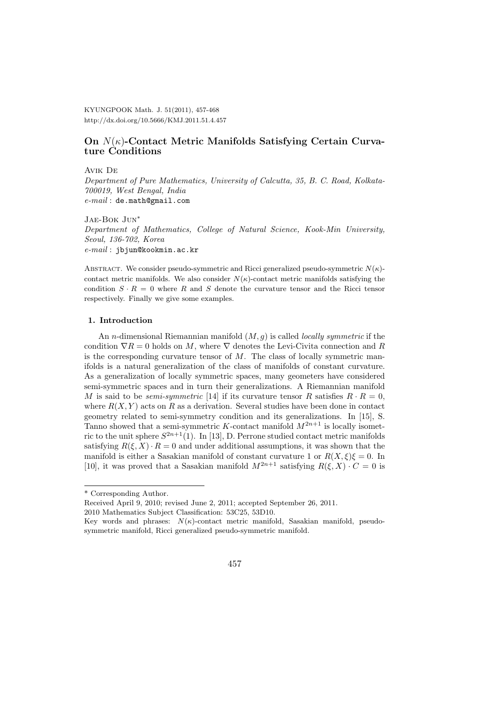KYUNGPOOK Math. J. 51(2011), 457-468 http://dx.doi.org/10.5666/KMJ.2011.51.4.457

## **On** *N*(*κ*)**-Contact Metric Manifolds Satisfying Certain Curvature Conditions**

#### Avik De

*Department of Pure Mathematics, University of Calcutta, 35, B. C. Road, Kolkata-700019, West Bengal, India e-mail* : de.math@gmail.com

#### Jae-Bok Jun*<sup>∗</sup>*

*Department of Mathematics, College of Natural Science, Kook-Min University, Seoul, 136-702, Korea e-mail* : jbjun@kookmin.ac.kr

ABSTRACT. We consider pseudo-symmetric and Ricci generalized pseudo-symmetric  $N(\kappa)$ contact metric manifolds. We also consider  $N(\kappa)$ -contact metric manifolds satisfying the condition  $S \cdot R = 0$  where R and S denote the curvature tensor and the Ricci tensor respectively. Finally we give some examples.

#### **1. Introduction**

An *n*-dimensional Riemannian manifold (*M, g*) is called *locally symmetric* if the condition  $\nabla R = 0$  holds on M, where  $\nabla$  denotes the Levi-Civita connection and R is the corresponding curvature tensor of *M*. The class of locally symmetric manifolds is a natural generalization of the class of manifolds of constant curvature. As a generalization of locally symmetric spaces, many geometers have considered semi-symmetric spaces and in turn their generalizations. A Riemannian manifold *M* is said to be *semi-symmetric* [14] if its curvature tensor *R* satisfies  $R \cdot R = 0$ , where  $R(X, Y)$  acts on  $R$  as a derivation. Several studies have been done in contact geometry related to semi-symmetry condition and its generalizations. In [15], S. Tanno showed that a semi-symmetric *K*-contact manifold  $M^{2n+1}$  is locally isometric to the unit sphere  $S^{2n+1}(1)$ . In [13], D. Perrone studied contact metric manifolds satisfying  $R(\xi, X) \cdot R = 0$  and under additional assumptions, it was shown that the manifold is either a Sasakian manifold of constant curvature 1 or  $R(X,\xi)\xi=0$ . In [10], it was proved that a Sasakian manifold  $M^{2n+1}$  satisfying  $R(\xi, X) \cdot C = 0$  is

<sup>\*</sup> Corresponding Author.

Received April 9, 2010; revised June 2, 2011; accepted September 26, 2011.

<sup>2010</sup> Mathematics Subject Classification: 53C25, 53D10.

Key words and phrases: *N*(*κ*)-contact metric manifold, Sasakian manifold, pseudosymmetric manifold, Ricci generalized pseudo-symmetric manifold.

<sup>457</sup>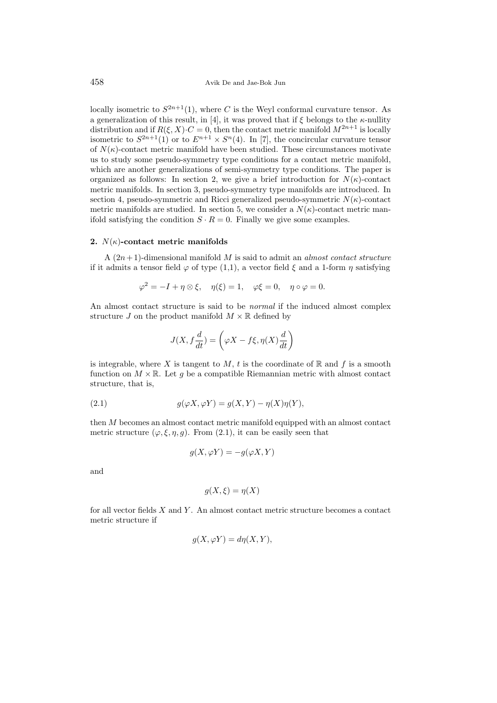locally isometric to  $S^{2n+1}(1)$ , where *C* is the Weyl conformal curvature tensor. As a generalization of this result, in [4], it was proved that if *ξ* belongs to the *κ*-nullity distribution and if  $R(\xi, X) \cdot C = 0$ , then the contact metric manifold  $M^{2n+1}$  is locally isometric to  $S^{2n+1}(1)$  or to  $E^{n+1} \times S^n(4)$ . In [7], the concircular curvature tensor of  $N(\kappa)$ -contact metric manifold have been studied. These circumstances motivate us to study some pseudo-symmetry type conditions for a contact metric manifold, which are another generalizations of semi-symmetry type conditions. The paper is organized as follows: In section 2, we give a brief introduction for  $N(\kappa)$ -contact metric manifolds. In section 3, pseudo-symmetry type manifolds are introduced. In section 4, pseudo-symmetric and Ricci generalized pseudo-symmetric  $N(\kappa)$ -contact metric manifolds are studied. In section 5, we consider a  $N(\kappa)$ -contact metric manifold satisfying the condition  $S \cdot R = 0$ . Finally we give some examples.

## **2.** *N*(*κ*)**-contact metric manifolds**

A (2*n*+ 1)-dimensional manifold *M* is said to admit an *almost contact structure* if it admits a tensor field  $\varphi$  of type (1,1), a vector field  $\xi$  and a 1-form  $\eta$  satisfying

$$
\varphi^2 = -I + \eta \otimes \xi, \quad \eta(\xi) = 1, \quad \varphi \xi = 0, \quad \eta \circ \varphi = 0.
$$

An almost contact structure is said to be *normal* if the induced almost complex structure *J* on the product manifold  $M \times \mathbb{R}$  defined by

$$
J(X, f\frac{d}{dt}) = \left(\varphi X - f\xi, \eta(X)\frac{d}{dt}\right)
$$

is integrable, where *X* is tangent to  $M$ ,  $t$  is the coordinate of  $\mathbb{R}$  and  $f$  is a smooth function on  $M \times \mathbb{R}$ . Let g be a compatible Riemannian metric with almost contact structure, that is,

(2.1) 
$$
g(\varphi X, \varphi Y) = g(X, Y) - \eta(X)\eta(Y),
$$

then *M* becomes an almost contact metric manifold equipped with an almost contact metric structure  $(\varphi, \xi, \eta, g)$ . From (2.1), it can be easily seen that

$$
g(X, \varphi Y) = -g(\varphi X, Y)
$$

and

$$
g(X,\xi) = \eta(X)
$$

for all vector fields *X* and *Y* . An almost contact metric structure becomes a contact metric structure if

$$
g(X, \varphi Y) = d\eta(X, Y),
$$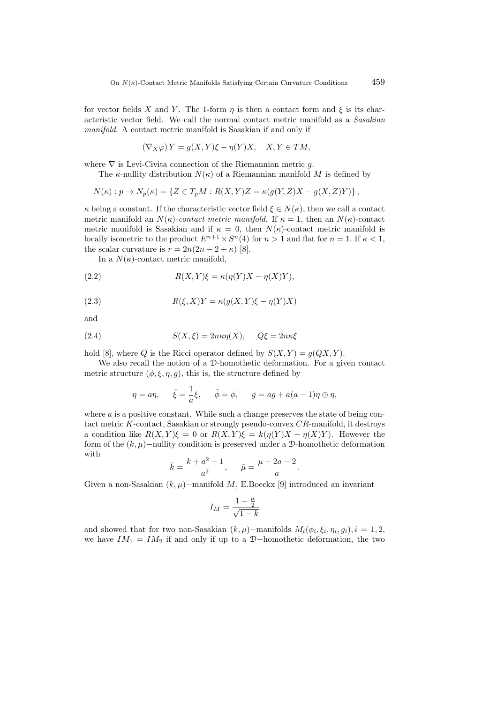for vector fields *X* and *Y*. The 1-form *η* is then a contact form and  $\xi$  is its characteristic vector field. We call the normal contact metric manifold as a *Sasakian manifold*. A contact metric manifold is Sasakian if and only if

$$
(\nabla_X \varphi) Y = g(X, Y)\xi - \eta(Y)X, \quad X, Y \in TM,
$$

where *∇* is Levi-Civita connection of the Riemannian metric *g*.

The *κ*-nullity distribution  $N(\kappa)$  of a Riemannian manifold M is defined by

$$
N(\kappa): p \to N_p(\kappa) = \{ Z \in T_p M : R(X, Y)Z = \kappa(g(Y, Z)X - g(X, Z)Y) \},
$$

*κ* being a constant. If the characteristic vector field  $\xi \in N(\kappa)$ , then we call a contact metric manifold an  $N(\kappa)$ -contact metric manifold. If  $\kappa = 1$ , then an  $N(\kappa)$ -contact metric manifold is Sasakian and if  $\kappa = 0$ , then  $N(\kappa)$ -contact metric manifold is locally isometric to the product  $E^{n+1} \times S^n(4)$  for  $n > 1$  and flat for  $n = 1$ . If  $\kappa < 1$ , the scalar curvature is  $r = 2n(2n - 2 + \kappa)$  [8].

In a  $N(\kappa)$ -contact metric manifold,

(2.2) 
$$
R(X,Y)\xi = \kappa(\eta(Y)X - \eta(X)Y),
$$

(2.3) 
$$
R(\xi, X)Y = \kappa(g(X, Y)\xi - \eta(Y)X)
$$

and

(2.4) 
$$
S(X,\xi) = 2n\kappa\eta(X), \quad Q\xi = 2n\kappa\xi
$$

hold [8], where *Q* is the Ricci operator defined by  $S(X, Y) = g(QX, Y)$ .

We also recall the notion of a D-homothetic deformation. For a given contact metric structure  $(\phi, \xi, \eta, q)$ , this is, the structure defined by

$$
\eta = a\eta, \quad \bar{\xi} = \frac{1}{a}\xi, \quad \bar{\phi} = \phi, \quad \bar{g} = ag + a(a-1)\eta \oplus \eta,
$$

where *a* is a positive constant. While such a change preserves the state of being contact metric *K*-contact, Sasakian or strongly pseudo-convex *CR*-manifold, it destroys a condition like  $R(X, Y)\xi = 0$  or  $R(X, Y)\xi = k(\eta(Y)X - \eta(X)Y)$ . However the form of the  $(k, \mu)$ −nullity condition is preserved under a D-homothetic deformation with

$$
\bar{k} = \frac{k + a^2 - 1}{a^2}, \quad \bar{\mu} = \frac{\mu + 2a - 2}{a}.
$$

Given a non-Sasakian (*k, µ*)*−*manifold *M*, E.Boeckx [9] introduced an invariant

$$
I_M = \frac{1-\frac{\mu}{2}}{\sqrt{1-k}}
$$

and showed that for two non-Sasakian  $(k, \mu)$ <sup>*-*</sup>manifolds  $M_i(\phi_i, \xi_i, \eta_i, g_i), i = 1, 2$ , we have  $IM_1 = IM_2$  if and only if up to a D−homothetic deformation, the two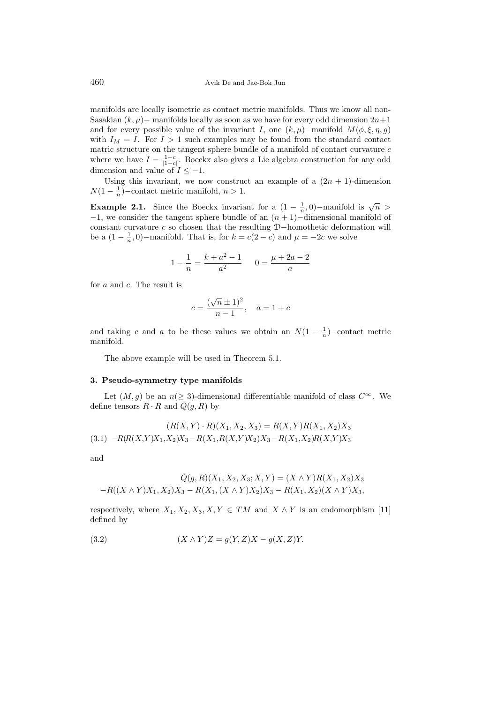manifolds are locally isometric as contact metric manifolds. Thus we know all non-Sasakian  $(k, \mu)$ − manifolds locally as soon as we have for every odd dimension  $2n+1$ and for every possible value of the invariant *I*, one  $(k, \mu)$ *−*manifold  $M(\phi, \xi, \eta, g)$ with  $I_M = I$ . For  $I > 1$  such examples may be found from the standard contact matric structure on the tangent sphere bundle of a manifold of contact curvature *c* where we have  $I = \frac{1+c}{|1-c|}$ . Boeckx also gives a Lie algebra construction for any odd dimension and value of  $I \leq -1$ .

Using this invariant, we now construct an example of a  $(2n + 1)$ -dimension  $N(1 - \frac{1}{n})$ −contact metric manifold, *n* > 1.

**Example 2.1.** Since the Boeckx invariant for a  $(1 - \frac{1}{n}, 0)$ *−*manifold is  $\sqrt{n}$  > *−*1, we consider the tangent sphere bundle of an (*n* + 1)*−*dimensional manifold of constant curvature *c* so chosen that the resulting D*−*homothetic deformation will be a  $(1 - \frac{1}{n}, 0)$ −manifold. That is, for  $k = c(2 - c)$  and  $\mu = -2c$  we solve

$$
1 - \frac{1}{n} = \frac{k + a^2 - 1}{a^2} \qquad 0 = \frac{\mu + 2a - 2}{a}
$$

for *a* and *c*. The result is

$$
c = \frac{(\sqrt{n} \pm 1)^2}{n - 1}, \quad a = 1 + c
$$

and taking *c* and *a* to be these values we obtain an  $N(1 - \frac{1}{n})$ –contact metric manifold.

The above example will be used in Theorem 5.1.

### **3. Pseudo-symmetry type manifolds**

Let  $(M, g)$  be an  $n \geq 3$ -dimensional differentiable manifold of class  $C^{\infty}$ . We define tensors  $R \cdot R$  and  $\overline{Q}(g, R)$  by

$$
(R(X, Y) \cdot R)(X_1, X_2, X_3) = R(X, Y)R(X_1, X_2)X_3
$$
  
(3.1) 
$$
-R(R(X, Y)X_1, X_2)X_3 - R(X_1, R(X, Y)X_2)X_3 - R(X_1, X_2)R(X, Y)X_3
$$

and

$$
\overline{Q}(g, R)(X_1, X_2, X_3; X, Y) = (X \wedge Y)R(X_1, X_2)X_3
$$
  
-R((X \wedge Y)X\_1, X\_2)X\_3 - R(X\_1, (X \wedge Y)X\_2)X\_3 - R(X\_1, X\_2)(X \wedge Y)X\_3,

respectively, where  $X_1, X_2, X_3, X, Y \in TM$  and  $X \wedge Y$  is an endomorphism [11] defined by

(3.2) 
$$
(X \wedge Y)Z = g(Y, Z)X - g(X, Z)Y.
$$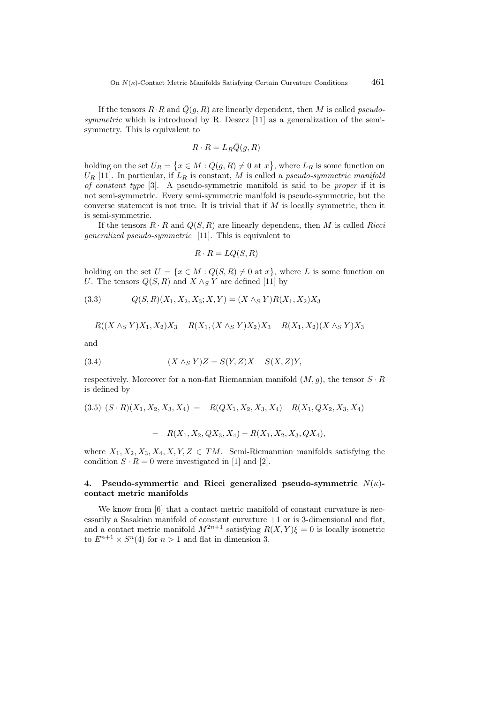If the tensors  $R \cdot R$  and  $\overline{Q}(g, R)$  are linearly dependent, then *M* is called *pseudosymmetric* which is introduced by R. Deszcz [11] as a generalization of the semisymmetry. This is equivalent to

$$
R \cdot R = L_R \bar{Q}(g, R)
$$

holding on the set  $U_R = \{x \in M : \overline{Q}(g, R) \neq 0 \text{ at } x\}$ , where  $L_R$  is some function on  $U_R$  [11]. In particular, if  $L_R$  is constant, *M* is called a *pseudo-symmetric manifold of constant type* [3]. A pseudo-symmetric manifold is said to be *proper* if it is not semi-symmetric. Every semi-symmetric manifold is pseudo-symmetric, but the converse statement is not true. It is trivial that if *M* is locally symmetric, then it is semi-symmetric.

If the tensors  $R \cdot R$  and  $\overline{Q}(S, R)$  are linearly dependent, then *M* is called *Ricci generalized pseudo-symmetric* [11]. This is equivalent to

$$
R \cdot R = LQ(S, R)
$$

holding on the set  $U = \{x \in M : Q(S, R) \neq 0 \text{ at } x\}$ , where *L* is some function on *U*. The tensors  $Q(S, R)$  and  $X \wedge_S Y$  are defined [11] by

$$
(3.3) \tQ(S,R)(X_1, X_2, X_3; X, Y) = (X \wedge_S Y)R(X_1, X_2)X_3
$$

$$
-R((X \wedge_S Y)X_1, X_2)X_3 - R(X_1, (X \wedge_S Y)X_2)X_3 - R(X_1, X_2)(X \wedge_S Y)X_3
$$

and

$$
(3.4) \qquad (X \wedge_S Y)Z = S(Y,Z)X - S(X,Z)Y,
$$

respectively. Moreover for a non-flat Riemannian manifold  $(M, q)$ , the tensor  $S \cdot R$ is defined by

$$
(3.5) (S \cdot R)(X_1, X_2, X_3, X_4) = -R(QX_1, X_2, X_3, X_4) - R(X_1, QX_2, X_3, X_4)
$$

$$
- R(X_1, X_2, QX_3, X_4) - R(X_1, X_2, X_3, QX_4),
$$

where  $X_1, X_2, X_3, X_4, X, Y, Z \in TM$ . Semi-Riemannian manifolds satisfying the condition  $S \cdot R = 0$  were investigated in [1] and [2].

## **4. Pseudo-symmertic and Ricci generalized pseudo-symmetric** *N*(*κ*) **contact metric manifolds**

We know from [6] that a contact metric manifold of constant curvature is necessarily a Sasakian manifold of constant curvature  $+1$  or is 3-dimensional and flat, and a contact metric manifold  $M^{2n+1}$  satisfying  $R(X, Y)\xi = 0$  is locally isometric to  $E^{n+1} \times S^n(4)$  for  $n > 1$  and flat in dimension 3.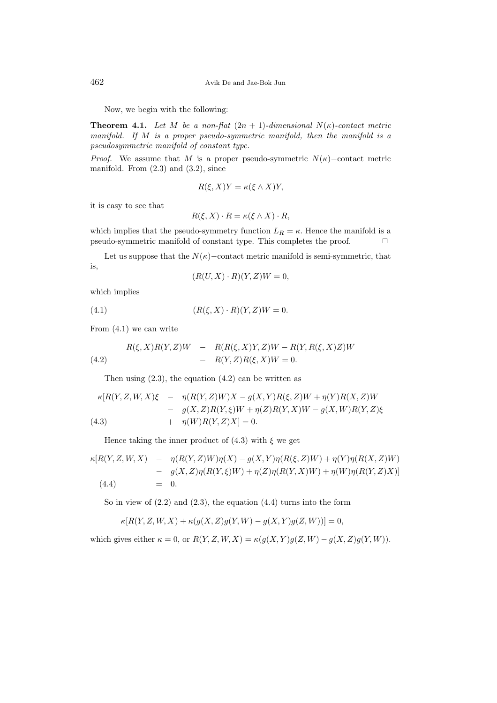462 Avik De and Jae-Bok Jun

Now, we begin with the following:

**Theorem 4.1.** Let *M* be a non-flat  $(2n + 1)$ -dimensional  $N(\kappa)$ -contact metric *manifold. If M is a proper pseudo-symmetric manifold, then the manifold is a pseudosymmetric manifold of constant type.*

*Proof.* We assume that *M* is a proper pseudo-symmetric  $N(\kappa)$ −contact metric manifold. From  $(2.3)$  and  $(3.2)$ , since

$$
R(\xi, X)Y = \kappa(\xi \wedge X)Y,
$$

it is easy to see that

$$
R(\xi, X) \cdot R = \kappa(\xi \wedge X) \cdot R,
$$

which implies that the pseudo-symmetry function  $L_R = \kappa$ . Hence the manifold is a pseudo-symmetric manifold of constant type. This completes the proof.  $\Box$ 

Let us suppose that the  $N(\kappa)$ −contact metric manifold is semi-symmetric, that is,

$$
(R(U, X) \cdot R)(Y, Z)W = 0,
$$

which implies

(4.1) 
$$
(R(\xi, X) \cdot R)(Y, Z)W = 0.
$$

From (4.1) we can write

(4.2) 
$$
R(\xi, X)R(Y, Z)W = R(R(\xi, X)Y, Z)W - R(Y, R(\xi, X)Z)W - R(Y, Z)R(\xi, X)W = 0.
$$

Then using  $(2.3)$ , the equation  $(4.2)$  can be written as

$$
\kappa[R(Y, Z, W, X)\xi - \eta(R(Y, Z)W)X - g(X, Y)R(\xi, Z)W + \eta(Y)R(X, Z)W \n- g(X, Z)R(Y, \xi)W + \eta(Z)R(Y, X)W - g(X, W)R(Y, Z)\xi \n+ \eta(W)R(Y, Z)X] = 0.
$$

Hence taking the inner product of  $(4.3)$  with  $\xi$  we get

$$
\kappa[R(Y, Z, W, X)] - \eta(R(Y, Z)W)\eta(X) - g(X, Y)\eta(R(\xi, Z)W) + \eta(Y)\eta(R(X, Z)W)
$$
  
- 
$$
g(X, Z)\eta(R(Y, \xi)W) + \eta(Z)\eta(R(Y, X)W) + \eta(W)\eta(R(Y, Z)X)
$$
  
(4.4) = 0.

So in view of  $(2.2)$  and  $(2.3)$ , the equation  $(4.4)$  turns into the form

$$
\kappa[R(Y,Z,W,X)+\kappa(g(X,Z)g(Y,W)-g(X,Y)g(Z,W))]=0,
$$

which gives either  $\kappa = 0$ , or  $R(Y, Z, W, X) = \kappa(g(X, Y)g(Z, W) - g(X, Z)g(Y, W))$ .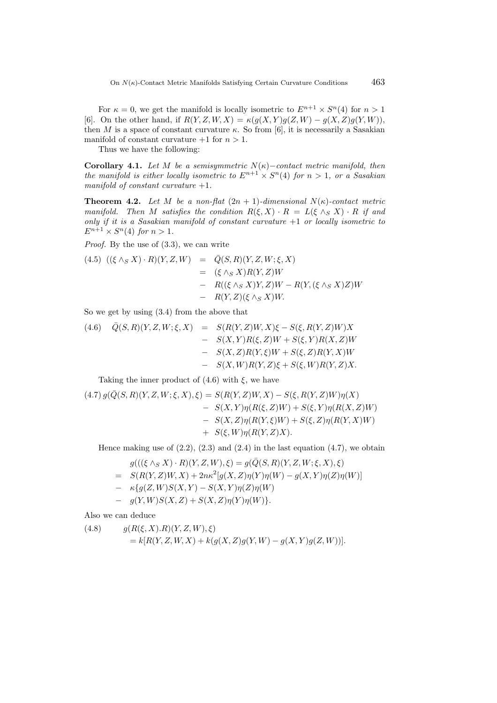For  $\kappa = 0$ , we get the manifold is locally isometric to  $E^{n+1} \times S^n(4)$  for  $n > 1$ [6]. On the other hand, if  $R(Y, Z, W, X) = \kappa(g(X, Y)g(Z, W) - g(X, Z)g(Y, W)),$ then *M* is a space of constant curvature  $\kappa$ . So from [6], it is necessarily a Sasakian manifold of constant curvature  $+1$  for  $n > 1$ .

Thus we have the following:

**Corollary 4.1.** *Let*  $M$  *be a semisymmetric*  $N(\kappa)$ *−contact metric manifold, then the manifold is either locally isometric to*  $E^{n+1} \times S^n(4)$  *for*  $n > 1$ *, or a Sasakian manifold of constant curvature* +1*.*

**Theorem 4.2.** Let M be a non-flat  $(2n + 1)$ -dimensional  $N(\kappa)$ -contact metric *manifold.* Then *M* satisfies the condition  $R(\xi, X) \cdot R = L(\xi \wedge_S X) \cdot R$  *if and only if it is a Sasakian manifold of constant curvature* +1 *or locally isometric to*  $E^{n+1} \times S^n(4)$  *for*  $n > 1$ *.* 

*Proof.* By the use of (3.3), we can write

$$
(4.5) \begin{array}{rcl} ((\xi \wedge_S X) \cdot R)(Y, Z, W) & = & \bar{Q}(S, R)(Y, Z, W; \xi, X) \\ & = & (\xi \wedge_S X)R(Y, Z)W \\ & - & R((\xi \wedge_S X)Y, Z)W - R(Y, (\xi \wedge_S X)Z)W \\ & - & R(Y, Z)(\xi \wedge_S X)W. \end{array}
$$

So we get by using (3.4) from the above that

(4.6) 
$$
\begin{array}{rcl}\n\bar{Q}(S,R)(Y,Z,W;\xi,X) & = & S(R(Y,Z)W,X)\xi - S(\xi,R(Y,Z)W)X \\
& = & S(X,Y)R(\xi,Z)W + S(\xi,Y)R(X,Z)W \\
& = & S(X,Z)R(Y,\xi)W + S(\xi,Z)R(Y,X)W \\
& = & S(X,W)R(Y,Z)\xi + S(\xi,W)R(Y,Z)X.\n\end{array}
$$

Taking the inner product of  $(4.6)$  with  $\xi$ , we have

$$
(4.7) g(\bar{Q}(S, R)(Y, Z, W; \xi, X), \xi) = S(R(Y, Z)W, X) - S(\xi, R(Y, Z)W)\eta(X)
$$
  
- S(X, Y)\eta(R(\xi, Z)W) + S(\xi, Y)\eta(R(X, Z)W)  
- S(X, Z)\eta(R(Y, \xi)W) + S(\xi, Z)\eta(R(Y, X)W)  
+ S(\xi, W)\eta(R(Y, Z)X).

Hence making use of  $(2.2)$ ,  $(2.3)$  and  $(2.4)$  in the last equation  $(4.7)$ , we obtain

$$
g(((\xi \wedge_S X) \cdot R)(Y, Z, W), \xi) = g(\bar{Q}(S, R)(Y, Z, W; \xi, X), \xi)
$$

- $= S(R(Y, Z)W, X) + 2n\kappa^2[g(X, Z)\eta(Y)\eta(W) g(X, Y)\eta(Z)\eta(W)]$
- *− κ{g*(*Z, W*)*S*(*X, Y* ) *− S*(*X, Y* )*η*(*Z*)*η*(*W*)
- *− g*(*Y, W*)*S*(*X, Z*) + *S*(*X, Z*)*η*(*Y* )*η*(*W*)*}.*

Also we can deduce

(4.8) 
$$
g(R(\xi, X).R)(Y, Z, W), \xi)
$$

$$
= k[R(Y, Z, W, X) + k(g(X, Z)g(Y, W) - g(X, Y)g(Z, W))].
$$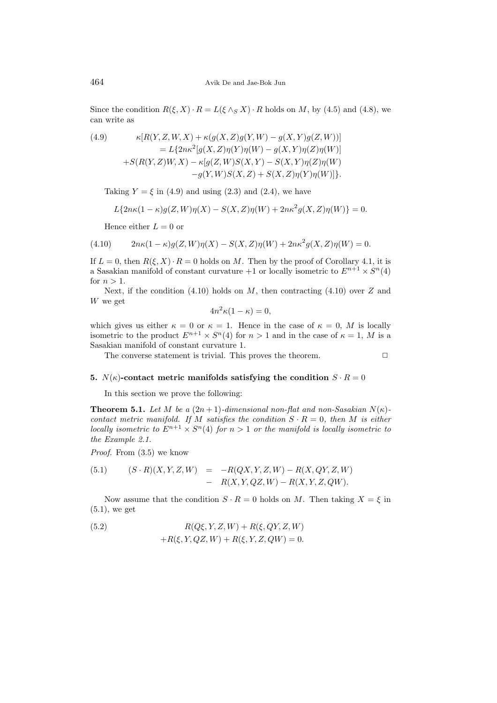Since the condition  $R(\xi, X) \cdot R = L(\xi \wedge_S X) \cdot R$  holds on *M*, by (4.5) and (4.8), we can write as

(4.9) 
$$
\kappa[R(Y, Z, W, X) + \kappa(g(X, Z)g(Y, W) - g(X, Y)g(Z, W))] \n= L\{2n\kappa^{2}[g(X, Z)\eta(Y)\eta(W) - g(X, Y)\eta(Z)\eta(W)] \n+ S(R(Y, Z)W, X) - \kappa[g(Z, W)S(X, Y) - S(X, Y)\eta(Z)\eta(W) \n- g(Y, W)S(X, Z) + S(X, Z)\eta(Y)\eta(W)]\}.
$$

Taking  $Y = \xi$  in (4.9) and using (2.3) and (2.4), we have

$$
L\{2n\kappa(1-\kappa)g(Z,W)\eta(X)-S(X,Z)\eta(W)+2n\kappa^2g(X,Z)\eta(W)\}=0.
$$

Hence either  $L = 0$  or

(4.10) 
$$
2n\kappa(1-\kappa)g(Z,W)\eta(X) - S(X,Z)\eta(W) + 2n\kappa^2g(X,Z)\eta(W) = 0.
$$

If  $L = 0$ , then  $R(\xi, X) \cdot R = 0$  holds on M. Then by the proof of Corollary 4.1, it is a Sasakian manifold of constant curvature  $+1$  or locally isometric to  $E^{n+1} \times S^n(4)$ for  $n > 1$ .

Next, if the condition (4.10) holds on *M*, then contracting (4.10) over *Z* and *W* we get

$$
4n^2\kappa(1-\kappa) = 0,
$$

which gives us either  $\kappa = 0$  or  $\kappa = 1$ . Hence in the case of  $\kappa = 0$ , M is locally isometric to the product  $E^{n+1} \times S^n(4)$  for  $n > 1$  and in the case of  $\kappa = 1, M$  is a Sasakian manifold of constant curvature 1.

The converse statement is trivial. This proves the theorem.

$$
\qquad \qquad \Box
$$

#### **5.**  $N(\kappa)$ -contact metric manifolds satisfying the condition  $S \cdot R = 0$

In this section we prove the following:

**Theorem 5.1.** *Let*  $M$  *be a*  $(2n+1)$ *-dimensional non-flat and non-Sasakian*  $N(\kappa)$ *contact metric manifold. If M satisfies the condition*  $S \cdot R = 0$ *, then M is either locally isometric to*  $E^{n+1} \times S^n(4)$  *for*  $n > 1$  *or the manifold is locally isometric to the Example 2.1.*

*Proof.* From (3.5) we know

(5.1) 
$$
(S \cdot R)(X, Y, Z, W) = -R(QX, Y, Z, W) - R(X, QY, Z, W) - R(X, Y, Z, QW) - R(X, Y, Z, QW).
$$

Now assume that the condition  $S \cdot R = 0$  holds on *M*. Then taking  $X = \xi$  in  $(5.1)$ , we get

(5.2) 
$$
R(Q\xi, Y, Z, W) + R(\xi, QY, Z, W) + R(\xi, Y, QZ, W) + R(\xi, Y, Z, QW) = 0.
$$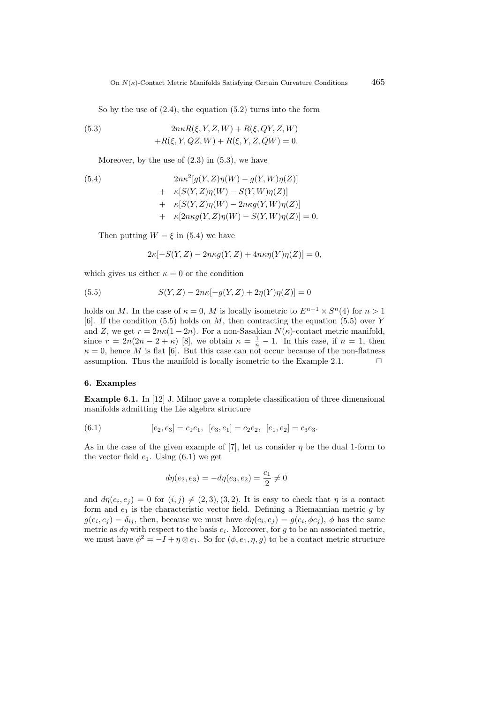So by the use of (2.4), the equation (5.2) turns into the form

(5.3) 
$$
2n\kappa R(\xi, Y, Z, W) + R(\xi, QY, Z, W) + R(\xi, Y, QZ, W) + R(\xi, Y, Z, QW) = 0.
$$

Moreover, by the use of  $(2.3)$  in  $(5.3)$ , we have

(5.4)  
\n
$$
2n\kappa^{2}[g(Y, Z)\eta(W) - g(Y, W)\eta(Z)]
$$
\n
$$
+ \kappa[S(Y, Z)\eta(W) - S(Y, W)\eta(Z)]
$$
\n
$$
+ \kappa[S(Y, Z)\eta(W) - 2n\kappa g(Y, W)\eta(Z)]
$$
\n
$$
+ \kappa[2n\kappa g(Y, Z)\eta(W) - S(Y, W)\eta(Z)] = 0.
$$

Then putting  $W = \xi$  in (5.4) we have

$$
2\kappa[-S(Y,Z) - 2n\kappa g(Y,Z) + 4n\kappa \eta(Y)\eta(Z)] = 0,
$$

which gives us either  $\kappa = 0$  or the condition

(5.5) 
$$
S(Y,Z) - 2n\kappa[-g(Y,Z) + 2\eta(Y)\eta(Z)] = 0
$$

holds on *M*. In the case of  $\kappa = 0$ , *M* is locally isometric to  $E^{n+1} \times S^n(4)$  for  $n > 1$ [6]. If the condition (5.5) holds on *M*, then contracting the equation (5.5) over *Y* and *Z*, we get  $r = 2n\kappa(1 - 2n)$ . For a non-Sasakian  $N(\kappa)$ -contact metric manifold, since  $r = 2n(2n - 2 + \kappa)$  [8], we obtain  $\kappa = \frac{1}{n} - 1$ . In this case, if  $n = 1$ , then  $\kappa = 0$ , hence *M* is flat [6]. But this case can not occur because of the non-flatness assumption. Thus the manifold is locally isometric to the Example 2.1.  $\Box$ 

#### **6. Examples**

**Example 6.1.** In [12] J. Milnor gave a complete classification of three dimensional manifolds admitting the Lie algebra structure

(6.1) 
$$
[e_2, e_3] = c_1 e_1, [e_3, e_1] = c_2 e_2, [e_1, e_2] = c_3 e_3.
$$

As in the case of the given example of [7], let us consider *η* be the dual 1-form to the vector field  $e_1$ . Using (6.1) we get

$$
d\eta(e_2, e_3) = -d\eta(e_3, e_2) = \frac{c_1}{2} \neq 0
$$

and  $d\eta(e_i, e_j) = 0$  for  $(i, j) \neq (2, 3), (3, 2)$ . It is easy to check that  $\eta$  is a contact form and  $e_1$  is the characteristic vector field. Defining a Riemannian metric  $g$  by  $g(e_i, e_j) = \delta_{ij}$ , then, because we must have  $d\eta(e_i, e_j) = g(e_i, \phi e_j)$ ,  $\phi$  has the same metric as  $d\eta$  with respect to the basis  $e_i$ . Moreover, for g to be an associated metric, we must have  $\phi^2 = -I + \eta \otimes e_1$ . So for  $(\phi, e_1, \eta, g)$  to be a contact metric structure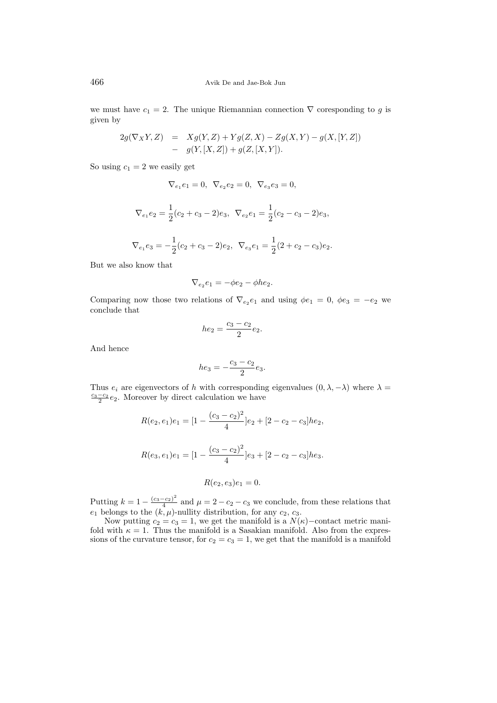we must have  $c_1 = 2$ . The unique Riemannian connection  $\nabla$  coresponding to *g* is given by

$$
2g(\nabla_X Y, Z) = Xg(Y, Z) + Yg(Z, X) - Zg(X, Y) - g(X, [Y, Z])
$$
  
- 
$$
g(Y, [X, Z]) + g(Z, [X, Y]).
$$

So using  $c_1 = 2$  we easily get

$$
\nabla_{e_1} e_1 = 0, \ \nabla_{e_2} e_2 = 0, \ \nabla_{e_3} e_3 = 0,
$$

$$
\nabla_{e_1}e_2 = \frac{1}{2}(c_2 + c_3 - 2)e_3, \ \nabla_{e_2}e_1 = \frac{1}{2}(c_2 - c_3 - 2)e_3,
$$

$$
\nabla_{e_1} e_3 = -\frac{1}{2}(c_2 + c_3 - 2)e_2, \ \nabla_{e_3} e_1 = \frac{1}{2}(2 + c_2 - c_3)e_2.
$$

But we also know that

$$
\nabla_{e_2} e_1 = -\phi e_2 - \phi h e_2.
$$

Comparing now those two relations of  $\nabla_{e_2}e_1$  and using  $\phi e_1 = 0$ ,  $\phi e_3 = -e_2$  we conclude that

$$
he_2 = \frac{c_3 - c_2}{2}e_2.
$$

And hence

$$
he_3 = -\frac{c_3 - c_2}{2}e_3.
$$

Thus  $e_i$  are eigenvectors of *h* with corresponding eigenvalues  $(0, \lambda, -\lambda)$  where  $\lambda =$  $\frac{c_3 - c_2}{2}e_2$ . Moreover by direct calculation we have

$$
R(e_2, e_1)e_1 = [1 - \frac{(c_3 - c_2)^2}{4}]e_2 + [2 - c_2 - c_3]he_2,
$$

$$
R(e_3, e_1)e_1 = [1 - \frac{(c_3 - c_2)^2}{4}]e_3 + [2 - c_2 - c_3]he_3.
$$

$$
R(e_2, e_3)e_1 = 0.
$$

Putting  $k = 1 - \frac{(c_3 - c_2)^2}{4}$  $\frac{c_{21}}{4}$  and  $\mu = 2 - c_2 - c_3$  we conclude, from these relations that  $e_1$  belongs to the  $(k, \mu)$ -nullity distribution, for any  $c_2, c_3$ .

Now putting  $c_2 = c_3 = 1$ , we get the manifold is a  $N(\kappa)$ −contact metric manifold with  $\kappa = 1$ . Thus the manifold is a Sasakian manifold. Also from the expressions of the curvature tensor, for  $c_2 = c_3 = 1$ , we get that the manifold is a manifold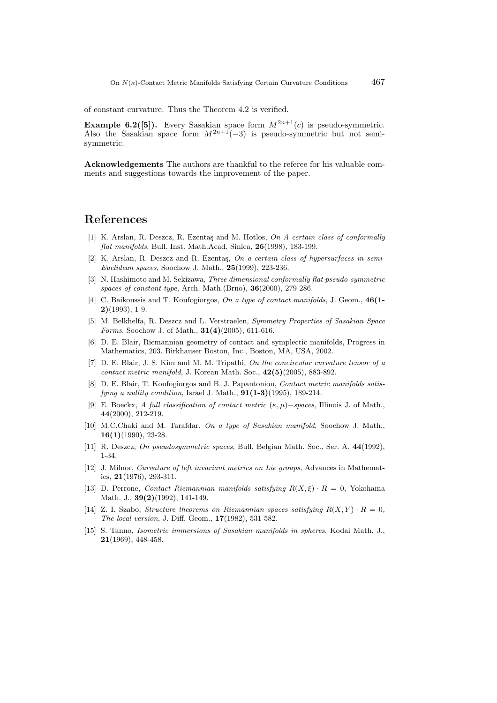of constant curvature. Thus the Theorem 4.2 is verified.

**Example 6.2([5]).** Every Sasakian space form  $M^{2n+1}(c)$  is pseudo-symmetric. Also the Sasakian space form  $M^{2n+1}(-3)$  is pseudo-symmetric but not semisymmetric.

**Acknowledgements** The authors are thankful to the referee for his valuable comments and suggestions towards the improvement of the paper.

# **References**

- [1] K. Arslan, R. Deszcz, R. Ezenta¸s and M. Hotlos, *On A certain class of conformally flat manifolds*, Bull. Inst. Math.Acad. Sinica, **26**(1998), 183-199.
- [2] K. Arslan, R. Deszcz and R. Ezentaş, On a certain class of hypersurfaces in semi-*Euclidean spaces*, Soochow J. Math., **25**(1999), 223-236.
- [3] N. Hashimoto and M. Sekizawa, *Three dimensional conformally flat pseudo-symmetric spaces of constant type*, Arch. Math.(Brno), **36**(2000), 279-286.
- [4] C. Baikoussis and T. Koufogiorgos, *On a type of contact manifolds*, J. Geom., **46(1- 2)**(1993), 1-9.
- [5] M. Belkhelfa, R. Deszcz and L. Verstraelen, *Symmetry Properties of Sasakian Space Forms*, Soochow J. of Math., **31(4)**(2005), 611-616.
- [6] D. E. Blair, Riemannian geometry of contact and symplectic manifolds, Progress in Mathematics, 203. Birkhauser Boston, Inc., Boston, MA, USA, 2002.
- [7] D. E. Blair, J. S. Kim and M. M. Tripathi, *On the concircular curvature tensor of a contact metric manifold*, J. Korean Math. Soc., **42(5)**(2005), 883-892.
- [8] D. E. Blair, T. Koufogiorgos and B. J. Papantoniou, *Contact metric manifolds satisfying a nullity condition*, Israel J. Math., **91(1-3)**(1995), 189-214.
- [9] E. Boeckx, *A full classification of contact metric* (*κ, µ*)*−spaces*, Illinois J. of Math., **44**(2000), 212-219.
- [10] M.C.Chaki and M. Tarafdar, *On a type of Sasakian manifold*, Soochow J. Math., **16(1)**(1990), 23-28.
- [11] R. Deszcz, *On pseudosymmetric spaces*, Bull. Belgian Math. Soc., Ser. A, **44**(1992), 1-34.
- [12] J. Milnor, *Curvature of left invariant metrics on Lie groups*, Advances in Mathematics, **21**(1976), 293-311.
- [13] D. Perrone, *Contact Riemannian manifolds satisfying*  $R(X,\xi) \cdot R = 0$ , Yokohama Math. J., **39(2)**(1992), 141-149.
- [14] Z. I. Szabo, *Structure theorems on Riemannian spaces satisfying*  $R(X, Y) \cdot R = 0$ , *The local version*, J. Diff. Geom., **17**(1982), 531-582.
- [15] S. Tanno, *Isometric immersions of Sasakian manifolds in spheres*, Kodai Math. J., **21**(1969), 448-458.